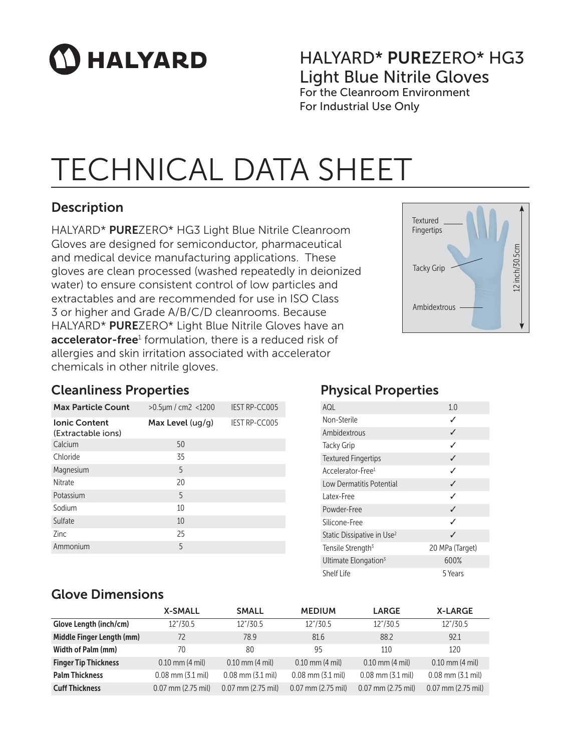# **HALYARD**

### HALYARD\* PUREZERO\* HG3 Light Blue Nitrile Gloves For the Cleanroom Environment

For Industrial Use Only

# TECHNICAL DATA SHEET

### **Description**

HALYARD\* PUREZERO\* HG3 Light Blue Nitrile Cleanroom Gloves are designed for semiconductor, pharmaceutical and medical device manufacturing applications. These gloves are clean processed (washed repeatedly in deionized water) to ensure consistent control of low particles and extractables and are recommended for use in ISO Class 3 or higher and Grade A/B/C/D cleanrooms. Because HALYARD\* PUREZERO\* Light Blue Nitrile Gloves have an accelerator-free<sup>1</sup> formulation, there is a reduced risk of allergies and skin irritation associated with accelerator chemicals in other nitrile gloves.



#### Cleanliness Properties

| <b>Max Particle Count</b>                  | $>0.5 \mu m$ / cm2 <1200 | <b>IEST RP-CC005</b> |
|--------------------------------------------|--------------------------|----------------------|
| <b>Ionic Content</b><br>(Extractable ions) | Max Level $( uq/q)$      | <b>IEST RP-CC005</b> |
| Calcium                                    | 50                       |                      |
| Chloride                                   | 35                       |                      |
| Magnesium                                  | 5                        |                      |
| Nitrate                                    | 20                       |                      |
| Potassium                                  | 5                        |                      |
| Sodium                                     | 10                       |                      |
| Sulfate                                    | 10                       |                      |
| 7inc                                       | 25                       |                      |
| Ammonium                                   | 5                        |                      |

# Physical Properties

| AQL                                    | 1 <sub>0</sub>  |
|----------------------------------------|-----------------|
| Non-Sterile                            | ✓               |
| Ambidextrous                           | ℐ               |
| <b>Tacky Grip</b>                      | ✓               |
| <b>Textured Fingertips</b>             | ✓               |
| Accelerator-Free <sup>1</sup>          | ℐ               |
| Low Dermatitis Potential               | ℐ               |
| l atex-Free                            | ℐ               |
| Powder-Free                            | ✓               |
| Silicone-Free                          | ✓               |
| Static Dissipative in Use <sup>2</sup> | J               |
| Tensile Strength <sup>3</sup>          | 20 MPa (Target) |
| Ultimate Elongation <sup>3</sup>       | 600%            |
| Shelf Life                             | 5 Years         |

#### Glove Dimensions

|                             | <b>X-SMALL</b>        | <b>SMALL</b>          | <b>MEDIUM</b>         | <b>LARGE</b>          | <b>X-LARGE</b>        |
|-----------------------------|-----------------------|-----------------------|-----------------------|-----------------------|-----------------------|
| Glove Length (inch/cm)      | 12"/30.5              | 12"/30.5              | 12"/30.5              | 12"/30.5              | 12"/30.5              |
| Middle Finger Length (mm)   | 72                    | 78.9                  | 81.6                  | 88.2                  | 92.1                  |
| Width of Palm (mm)          | 70                    | 80                    | 95                    | 110                   | 120                   |
| <b>Finger Tip Thickness</b> | $0.10$ mm $(4$ mil)   | $0.10$ mm $(4$ mil)   | $0.10$ mm $(4$ mil)   | $0.10$ mm $(4$ mil)   | $0.10$ mm $(4$ mil)   |
| <b>Palm Thickness</b>       | $0.08$ mm $(3.1$ mil) | $0.08$ mm $(3.1$ mil) | $0.08$ mm $(3.1$ mil) | $0.08$ mm $(3.1$ mil) | $0.08$ mm $(3.1$ mil) |
| <b>Cuff Thickness</b>       | $0.07$ mm (2.75 mil)  | $0.07$ mm (2.75 mil)  | $0.07$ mm (2.75 mil)  | $0.07$ mm (2.75 mil)  | $0.07$ mm (2.75 mil)  |